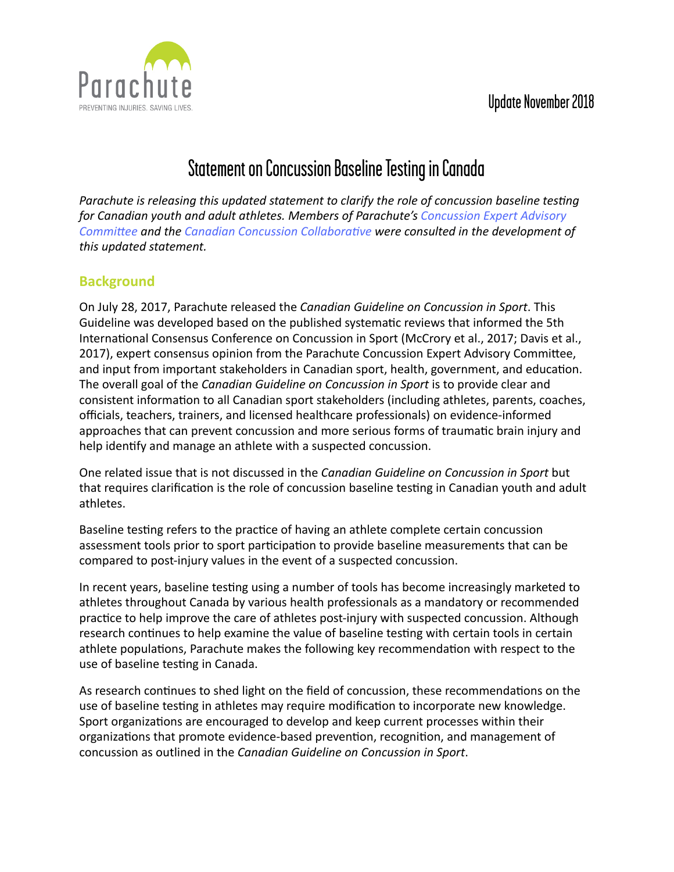## Update November 2018



# Statement on Concussion Baseline Testing in Canada

*Parachute is releasing this updated statement to clarify the role of concussion baseline testing* for Canadian youth and adult athletes. Members of Parachute's Concussion Expert Advisory *Committee and the Canadian Concussion Collaborative were consulted in the development of this updated statement.*

## **Background**

On July 28, 2017, Parachute released the *Canadian Guideline on Concussion in Sport*. This Guideline was developed based on the published systematic reviews that informed the 5th International Consensus Conference on Concussion in Sport (McCrory et al., 2017; Davis et al., 2017), expert consensus opinion from the Parachute Concussion Expert Advisory Committee, and input from important stakeholders in Canadian sport, health, government, and education. The overall goal of the *Canadian Guideline on Concussion in Sport* is to provide clear and consistent information to all Canadian sport stakeholders (including athletes, parents, coaches, officials, teachers, trainers, and licensed healthcare professionals) on evidence-informed approaches that can prevent concussion and more serious forms of traumatic brain injury and help identify and manage an athlete with a suspected concussion.

One related issue that is not discussed in the *Canadian Guideline on Concussion in Sport* but that requires clarification is the role of concussion baseline testing in Canadian youth and adult athletes. 

Baseline testing refers to the practice of having an athlete complete certain concussion assessment tools prior to sport participation to provide baseline measurements that can be compared to post-injury values in the event of a suspected concussion.

In recent years, baseline testing using a number of tools has become increasingly marketed to athletes throughout Canada by various health professionals as a mandatory or recommended practice to help improve the care of athletes post-injury with suspected concussion. Although research continues to help examine the value of baseline testing with certain tools in certain athlete populations, Parachute makes the following key recommendation with respect to the use of baseline testing in Canada.

As research continues to shed light on the field of concussion, these recommendations on the use of baseline testing in athletes may require modification to incorporate new knowledge. Sport organizations are encouraged to develop and keep current processes within their organizations that promote evidence-based prevention, recognition, and management of concussion as outlined in the *Canadian Guideline on Concussion in Sport*.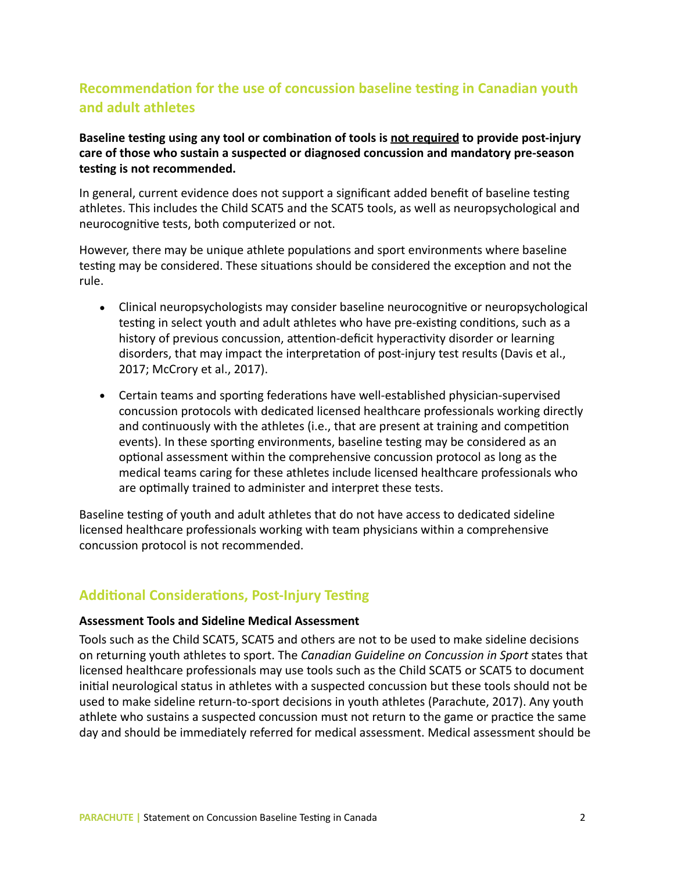## **Recommendation for the use of concussion baseline testing in Canadian youth and adult athletes**

#### Baseline testing using any tool or combination of tools is not required to provide post-injury care of those who sustain a suspected or diagnosed concussion and mandatory pre-season testing is not recommended.

In general, current evidence does not support a significant added benefit of baseline testing athletes. This includes the Child SCAT5 and the SCAT5 tools, as well as neuropsychological and neurocognitive tests, both computerized or not.

However, there may be unique athlete populations and sport environments where baseline testing may be considered. These situations should be considered the exception and not the rule. 

- Clinical neuropsychologists may consider baseline neurocognitive or neuropsychological testing in select youth and adult athletes who have pre-existing conditions, such as a history of previous concussion, attention-deficit hyperactivity disorder or learning disorders, that may impact the interpretation of post-injury test results (Davis et al., 2017; McCrory et al., 2017).
- Certain teams and sporting federations have well-established physician-supervised concussion protocols with dedicated licensed healthcare professionals working directly and continuously with the athletes (i.e., that are present at training and competition events). In these sporting environments, baseline testing may be considered as an optional assessment within the comprehensive concussion protocol as long as the medical teams caring for these athletes include licensed healthcare professionals who are optimally trained to administer and interpret these tests.

Baseline testing of youth and adult athletes that do not have access to dedicated sideline licensed healthcare professionals working with team physicians within a comprehensive concussion protocol is not recommended.

## **Additional Considerations, Post-Injury Testing**

#### **Assessment Tools and Sideline Medical Assessment**

Tools such as the Child SCAT5, SCAT5 and others are not to be used to make sideline decisions on returning youth athletes to sport. The *Canadian Guideline on Concussion in Sport* states that licensed healthcare professionals may use tools such as the Child SCAT5 or SCAT5 to document initial neurological status in athletes with a suspected concussion but these tools should not be used to make sideline return-to-sport decisions in youth athletes (Parachute, 2017). Any youth athlete who sustains a suspected concussion must not return to the game or practice the same day and should be immediately referred for medical assessment. Medical assessment should be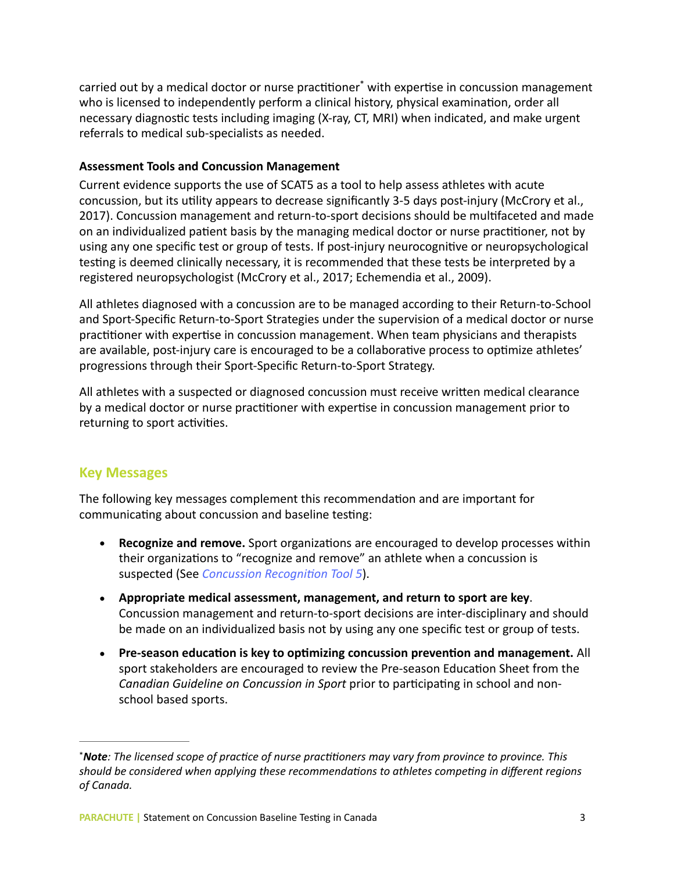carried out by a medical doctor or nurse practitioner<sup>\*</sup> with expertise in concussion management who is licensed to independently perform a clinical history, physical examination, order all necessary diagnostic tests including imaging (X-ray, CT, MRI) when indicated, and make urgent referrals to medical sub-specialists as needed.

#### **Assessment Tools and Concussion Management**

Current evidence supports the use of SCAT5 as a tool to help assess athletes with acute concussion, but its utility appears to decrease significantly 3-5 days post-injury (McCrory et al., 2017). Concussion management and return-to-sport decisions should be multifaceted and made on an individualized patient basis by the managing medical doctor or nurse practitioner, not by using any one specific test or group of tests. If post-injury neurocognitive or neuropsychological testing is deemed clinically necessary, it is recommended that these tests be interpreted by a registered neuropsychologist (McCrory et al., 2017; Echemendia et al., 2009).

All athletes diagnosed with a concussion are to be managed according to their Return-to-School and Sport-Specific Return-to-Sport Strategies under the supervision of a medical doctor or nurse practitioner with expertise in concussion management. When team physicians and therapists are available, post-injury care is encouraged to be a collaborative process to optimize athletes' progressions through their Sport-Specific Return-to-Sport Strategy.

All athletes with a suspected or diagnosed concussion must receive written medical clearance by a medical doctor or nurse practitioner with expertise in concussion management prior to returning to sport activities.

## **Key Messages**

The following key messages complement this recommendation and are important for communicating about concussion and baseline testing:

- **Recognize and remove.** Sport organizations are encouraged to develop processes within their organizations to "recognize and remove" an athlete when a concussion is suspected (See *Concussion Recognition Tool 5*).
- Appropriate medical assessment, management, and return to sport are key. Concussion management and return-to-sport decisions are inter-disciplinary and should be made on an individualized basis not by using any one specific test or group of tests.
- Pre-season education is key to optimizing concussion prevention and management. All sport stakeholders are encouraged to review the Pre-season Education Sheet from the *Canadian Guideline on Concussion in Sport* prior to participating in school and nonschool based sports.

<sup>\*</sup>**Note**: The licensed scope of practice of nurse practitioners may vary from province to province. This should be considered when applying these recommendations to athletes competing in different regions *of Canada.*